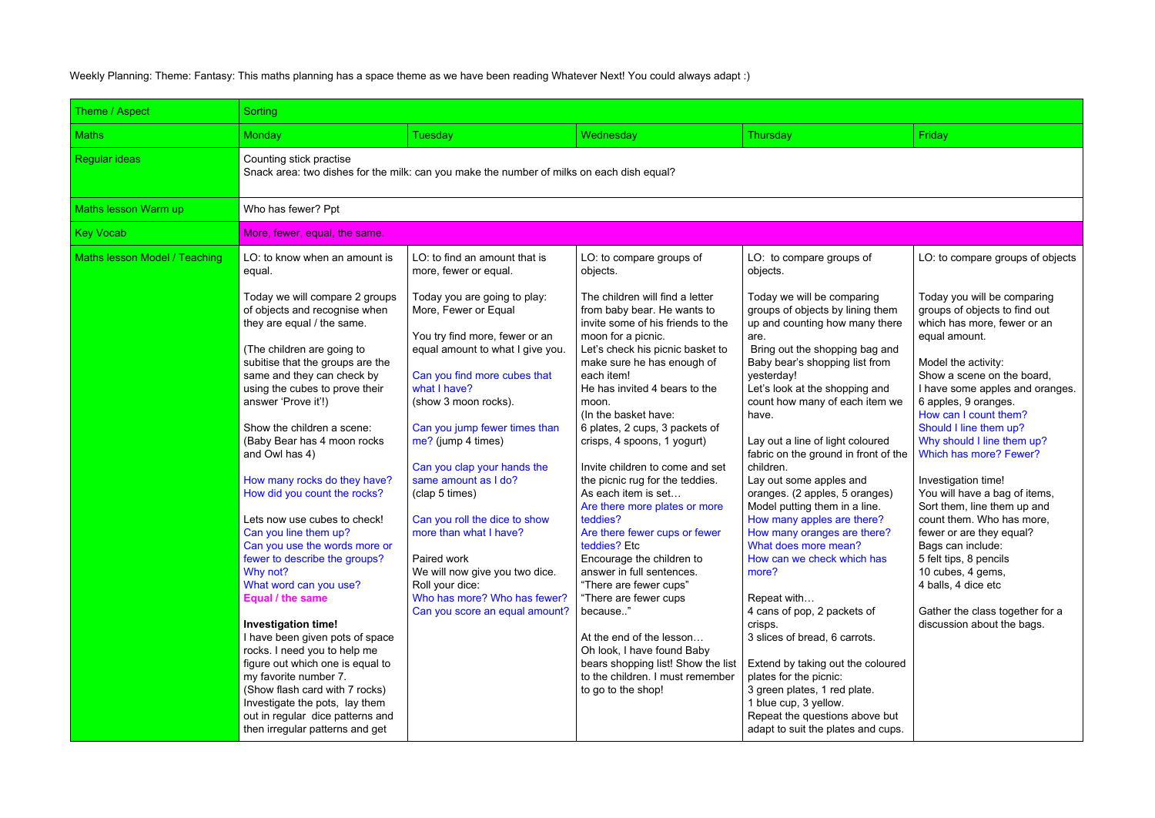Weekly Planning: Theme: Fantasy: This maths planning has a space theme as we have been reading Whatever Next! You could always adapt :)

| Theme / Aspect                | Sorting                                                                                                                                                                                                                                                                                               |                                                                                                                                                                                                      |                                                                                                                                                                                                                                            |                                                                                                                                                                                                                                               |                                                                                                                                                                                                                                                          |  |  |  |  |
|-------------------------------|-------------------------------------------------------------------------------------------------------------------------------------------------------------------------------------------------------------------------------------------------------------------------------------------------------|------------------------------------------------------------------------------------------------------------------------------------------------------------------------------------------------------|--------------------------------------------------------------------------------------------------------------------------------------------------------------------------------------------------------------------------------------------|-----------------------------------------------------------------------------------------------------------------------------------------------------------------------------------------------------------------------------------------------|----------------------------------------------------------------------------------------------------------------------------------------------------------------------------------------------------------------------------------------------------------|--|--|--|--|
| <b>Maths</b>                  | <b>Monday</b>                                                                                                                                                                                                                                                                                         | Tuesday                                                                                                                                                                                              | Wednesday                                                                                                                                                                                                                                  | Thursday                                                                                                                                                                                                                                      | Friday                                                                                                                                                                                                                                                   |  |  |  |  |
| <b>Regular ideas</b>          | Counting stick practise<br>Snack area: two dishes for the milk: can you make the number of milks on each dish equal?                                                                                                                                                                                  |                                                                                                                                                                                                      |                                                                                                                                                                                                                                            |                                                                                                                                                                                                                                               |                                                                                                                                                                                                                                                          |  |  |  |  |
| Maths lesson Warm up          | Who has fewer? Ppt                                                                                                                                                                                                                                                                                    |                                                                                                                                                                                                      |                                                                                                                                                                                                                                            |                                                                                                                                                                                                                                               |                                                                                                                                                                                                                                                          |  |  |  |  |
| <b>Key Vocab</b>              | More, fewer, equal, the same.                                                                                                                                                                                                                                                                         |                                                                                                                                                                                                      |                                                                                                                                                                                                                                            |                                                                                                                                                                                                                                               |                                                                                                                                                                                                                                                          |  |  |  |  |
| Maths lesson Model / Teaching | LO: to know when an amount is<br>equal.<br>Today we will compare 2 groups<br>of objects and recognise when<br>they are equal / the same.<br>(The children are going to<br>subitise that the groups are the                                                                                            | LO: to find an amount that is<br>more, fewer or equal.<br>Today you are going to play:<br>More, Fewer or Equal<br>You try find more, fewer or an<br>equal amount to what I give you.                 | LO: to compare groups of<br>objects.<br>The children will find a letter<br>from baby bear. He wants to<br>invite some of his friends to the<br>moon for a picnic.<br>Let's check his picnic basket to<br>make sure he has enough of        | LO: to compare groups of<br>objects.<br>Today we will be comparing<br>groups of objects by lining them<br>up and counting how many there<br>are.<br>Bring out the shopping bag and<br>Baby bear's shopping list from                          | LO: to compare groups of objects<br>Today you will be comparing<br>groups of objects to find out<br>which has more, fewer or an<br>equal amount.<br>Model the activity:                                                                                  |  |  |  |  |
|                               | same and they can check by<br>using the cubes to prove their<br>answer 'Prove it'!)<br>Show the children a scene:<br>(Baby Bear has 4 moon rocks)<br>and Owl has 4)<br>How many rocks do they have?<br>How did you count the rocks?                                                                   | Can you find more cubes that<br>what I have?<br>(show 3 moon rocks).<br>Can you jump fewer times than<br>me? (jump 4 times)<br>Can you clap your hands the<br>same amount as I do?<br>(clap 5 times) | each item!<br>He has invited 4 bears to the<br>moon.<br>(In the basket have:<br>6 plates, 2 cups, 3 packets of<br>crisps, 4 spoons, 1 yogurt)<br>Invite children to come and set<br>the picnic rug for the teddies.<br>As each item is set | yesterday!<br>Let's look at the shopping and<br>count how many of each item we<br>have.<br>Lay out a line of light coloured<br>fabric on the ground in front of the<br>children.<br>Lay out some apples and<br>oranges. (2 apples, 5 oranges) | Show a scene on the board,<br>I have some apples and oranges.<br>6 apples, 9 oranges.<br>How can I count them?<br>Should I line them up?<br>Why should I line them up?<br>Which has more? Fewer?<br>Investigation time!<br>You will have a bag of items, |  |  |  |  |
|                               | Lets now use cubes to check!<br>Can you line them up?<br>Can you use the words more or<br>fewer to describe the groups?<br>Why not?<br>What word can you use?<br>Equal / the same                                                                                                                     | Can you roll the dice to show<br>more than what I have?<br>Paired work<br>We will now give you two dice.<br>Roll your dice:<br>Who has more? Who has fewer?<br>Can you score an equal amount?        | Are there more plates or more<br>teddies?<br>Are there fewer cups or fewer<br>teddies? Etc<br>Encourage the children to<br>answer in full sentences.<br>"There are fewer cups"<br>"There are fewer cups<br>because"                        | Model putting them in a line.<br>How many apples are there?<br>How many oranges are there?<br>What does more mean?<br>How can we check which has<br>more?<br>Repeat with<br>4 cans of pop, 2 packets of                                       | Sort them, line them up and<br>count them. Who has more,<br>fewer or are they equal?<br>Bags can include:<br>5 felt tips, 8 pencils<br>10 cubes, 4 gems,<br>4 balls, 4 dice etc<br>Gather the class together for a                                       |  |  |  |  |
|                               | <b>Investigation time!</b><br>I have been given pots of space<br>rocks. I need you to help me<br>figure out which one is equal to<br>my favorite number 7.<br>(Show flash card with 7 rocks)<br>Investigate the pots, lay them<br>out in regular dice patterns and<br>then irregular patterns and get |                                                                                                                                                                                                      | At the end of the lesson<br>Oh look, I have found Baby<br>bears shopping list! Show the list<br>to the children. I must remember<br>to go to the shop!                                                                                     | crisps.<br>3 slices of bread, 6 carrots.<br>Extend by taking out the coloured<br>plates for the picnic:<br>3 green plates, 1 red plate.<br>1 blue cup, 3 yellow.<br>Repeat the questions above but<br>adapt to suit the plates and cups.      | discussion about the bags.                                                                                                                                                                                                                               |  |  |  |  |